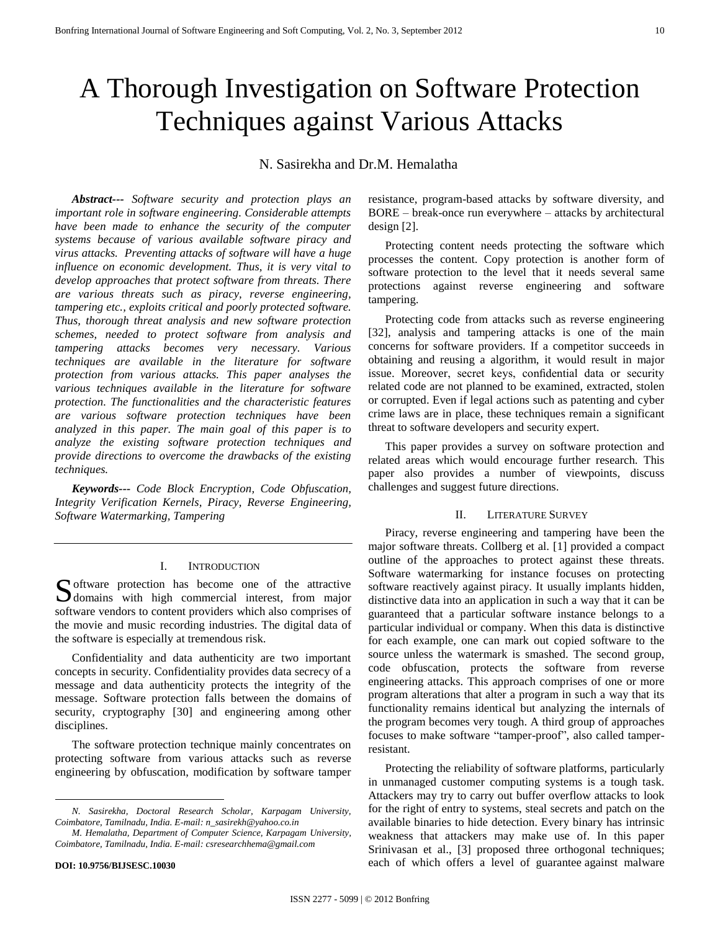# A Thorough Investigation on Software Protection Techniques against Various Attacks

# N. Sasirekha and Dr.M. Hemalatha

*Abstract--- Software security and protection plays an important role in software engineering. Considerable attempts have been made to enhance the security of the computer systems because of various available software piracy and virus attacks. Preventing attacks of software will have a huge influence on economic development. Thus, it is very vital to develop approaches that protect software from threats. There are various threats such as piracy, reverse engineering, tampering etc., exploits critical and poorly protected software. Thus, thorough threat analysis and new software protection schemes, needed to protect software from analysis and tampering attacks becomes very necessary. Various techniques are available in the literature for software protection from various attacks. This paper analyses the various techniques available in the literature for software protection. The functionalities and the characteristic features are various software protection techniques have been analyzed in this paper. The main goal of this paper is to analyze the existing software protection techniques and provide directions to overcome the drawbacks of the existing techniques.*

*Keywords--- Code Block Encryption, Code Obfuscation, Integrity Verification Kernels, Piracy, Reverse Engineering, Software Watermarking, Tampering*

#### I. INTRODUCTION

Software protection has become one of the attractive domains with high commercial interest, from major  $\bigcup$  domains with high commercial interest, from major software vendors to content providers which also comprises of the movie and music recording industries. The digital data of the software is especially at tremendous risk.

Confidentiality and data authenticity are two important concepts in security. Confidentiality provides data secrecy of a message and data authenticity protects the integrity of the message. Software protection falls between the domains of security, cryptography [30] and engineering among other disciplines.

The software protection technique mainly concentrates on protecting software from various attacks such as reverse engineering by obfuscation, modification by software tamper

 $\overline{a}$ 

resistance, program-based attacks by software diversity, and BORE – break-once run everywhere – attacks by architectural design [2].

Protecting content needs protecting the software which processes the content. Copy protection is another form of software protection to the level that it needs several same protections against reverse engineering and software tampering.

Protecting code from attacks such as reverse engineering [32], analysis and tampering attacks is one of the main concerns for software providers. If a competitor succeeds in obtaining and reusing a algorithm, it would result in major issue. Moreover, secret keys, confidential data or security related code are not planned to be examined, extracted, stolen or corrupted. Even if legal actions such as patenting and cyber crime laws are in place, these techniques remain a significant threat to software developers and security expert.

This paper provides a survey on software protection and related areas which would encourage further research. This paper also provides a number of viewpoints, discuss challenges and suggest future directions.

### II. LITERATURE SURVEY

Piracy, reverse engineering and tampering have been the major software threats. Collberg et al. [1] provided a compact outline of the approaches to protect against these threats. Software watermarking for instance focuses on protecting software reactively against piracy. It usually implants hidden, distinctive data into an application in such a way that it can be guaranteed that a particular software instance belongs to a particular individual or company. When this data is distinctive for each example, one can mark out copied software to the source unless the watermark is smashed. The second group, code obfuscation, protects the software from reverse engineering attacks. This approach comprises of one or more program alterations that alter a program in such a way that its functionality remains identical but analyzing the internals of the program becomes very tough. A third group of approaches focuses to make software "tamper-proof", also called tamperresistant.

Protecting the reliability of software platforms, particularly in unmanaged customer computing systems is a tough task. Attackers may try to carry out buffer overflow attacks to look for the right of entry to systems, steal secrets and patch on the available binaries to hide detection. Every binary has intrinsic weakness that attackers may make use of. In this paper Srinivasan et al., [3] proposed three orthogonal techniques; each of which offers a level of guarantee against malware

*N. Sasirekha, Doctoral Research Scholar, Karpagam University, Coimbatore, Tamilnadu, India. E-mail: n\_sasirekh@yahoo.co.in*

*M. Hemalatha, Department of Computer Science, Karpagam University, Coimbatore, Tamilnadu, India. E-mail: csresearchhema@gmail.com*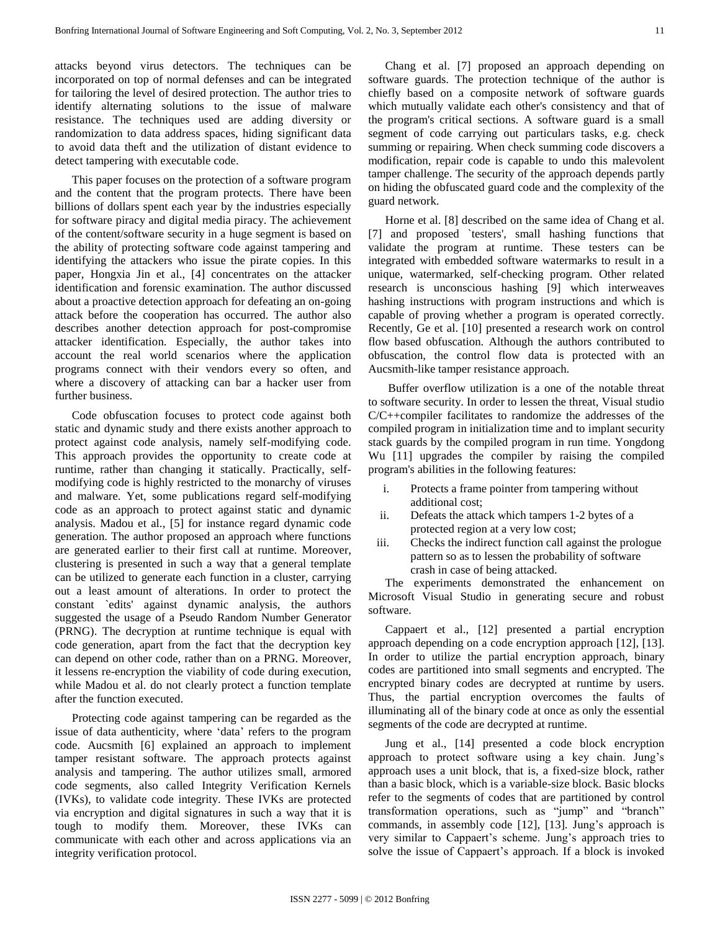attacks beyond virus detectors. The techniques can be incorporated on top of normal defenses and can be integrated for tailoring the level of desired protection. The author tries to identify alternating solutions to the issue of malware resistance. The techniques used are adding diversity or randomization to data address spaces, hiding significant data to avoid data theft and the utilization of distant evidence to detect tampering with executable code.

This paper focuses on the protection of a software program and the content that the program protects. There have been billions of dollars spent each year by the industries especially for software piracy and digital media piracy. The achievement of the content/software security in a huge segment is based on the ability of protecting software code against tampering and identifying the attackers who issue the pirate copies. In this paper, Hongxia Jin et al., [4] concentrates on the attacker identification and forensic examination. The author discussed about a proactive detection approach for defeating an on-going attack before the cooperation has occurred. The author also describes another detection approach for post-compromise attacker identification. Especially, the author takes into account the real world scenarios where the application programs connect with their vendors every so often, and where a discovery of attacking can bar a hacker user from further business.

Code obfuscation focuses to protect code against both static and dynamic study and there exists another approach to protect against code analysis, namely self-modifying code. This approach provides the opportunity to create code at runtime, rather than changing it statically. Practically, selfmodifying code is highly restricted to the monarchy of viruses and malware. Yet, some publications regard self-modifying code as an approach to protect against static and dynamic analysis. Madou et al., [5] for instance regard dynamic code generation. The author proposed an approach where functions are generated earlier to their first call at runtime. Moreover, clustering is presented in such a way that a general template can be utilized to generate each function in a cluster, carrying out a least amount of alterations. In order to protect the constant `edits' against dynamic analysis, the authors suggested the usage of a Pseudo Random Number Generator (PRNG). The decryption at runtime technique is equal with code generation, apart from the fact that the decryption key can depend on other code, rather than on a PRNG. Moreover, it lessens re-encryption the viability of code during execution, while Madou et al. do not clearly protect a function template after the function executed.

Protecting code against tampering can be regarded as the issue of data authenticity, where "data" refers to the program code. Aucsmith [6] explained an approach to implement tamper resistant software. The approach protects against analysis and tampering. The author utilizes small, armored code segments, also called Integrity Verification Kernels (IVKs), to validate code integrity. These IVKs are protected via encryption and digital signatures in such a way that it is tough to modify them. Moreover, these IVKs can communicate with each other and across applications via an integrity verification protocol.

Chang et al. [7] proposed an approach depending on software guards. The protection technique of the author is chiefly based on a composite network of software guards which mutually validate each other's consistency and that of the program's critical sections. A software guard is a small segment of code carrying out particulars tasks, e.g. check summing or repairing. When check summing code discovers a modification, repair code is capable to undo this malevolent tamper challenge. The security of the approach depends partly on hiding the obfuscated guard code and the complexity of the guard network.

Horne et al. [8] described on the same idea of Chang et al. [7] and proposed `testers', small hashing functions that validate the program at runtime. These testers can be integrated with embedded software watermarks to result in a unique, watermarked, self-checking program. Other related research is unconscious hashing [9] which interweaves hashing instructions with program instructions and which is capable of proving whether a program is operated correctly. Recently, Ge et al. [10] presented a research work on control flow based obfuscation. Although the authors contributed to obfuscation, the control flow data is protected with an Aucsmith-like tamper resistance approach.

Buffer overflow utilization is a one of the notable threat to software security. In order to lessen the threat, Visual studio C/C++compiler facilitates to randomize the addresses of the compiled program in initialization time and to implant security stack guards by the compiled program in run time. Yongdong Wu [11] upgrades the compiler by raising the compiled program's abilities in the following features:

- i. Protects a frame pointer from tampering without additional cost;
- ii. Defeats the attack which tampers 1-2 bytes of a protected region at a very low cost;
- iii. Checks the indirect function call against the prologue pattern so as to lessen the probability of software crash in case of being attacked.

The experiments demonstrated the enhancement on Microsoft Visual Studio in generating secure and robust software.

Cappaert et al., [12] presented a partial encryption approach depending on a code encryption approach [12], [13]. In order to utilize the partial encryption approach, binary codes are partitioned into small segments and encrypted. The encrypted binary codes are decrypted at runtime by users. Thus, the partial encryption overcomes the faults of illuminating all of the binary code at once as only the essential segments of the code are decrypted at runtime.

Jung et al., [14] presented a code block encryption approach to protect software using a key chain. Jung"s approach uses a unit block, that is, a fixed-size block, rather than a basic block, which is a variable-size block. Basic blocks refer to the segments of codes that are partitioned by control transformation operations, such as "jump" and "branch" commands, in assembly code [12], [13]. Jung's approach is very similar to Cappaert's scheme. Jung's approach tries to solve the issue of Cappaert's approach. If a block is invoked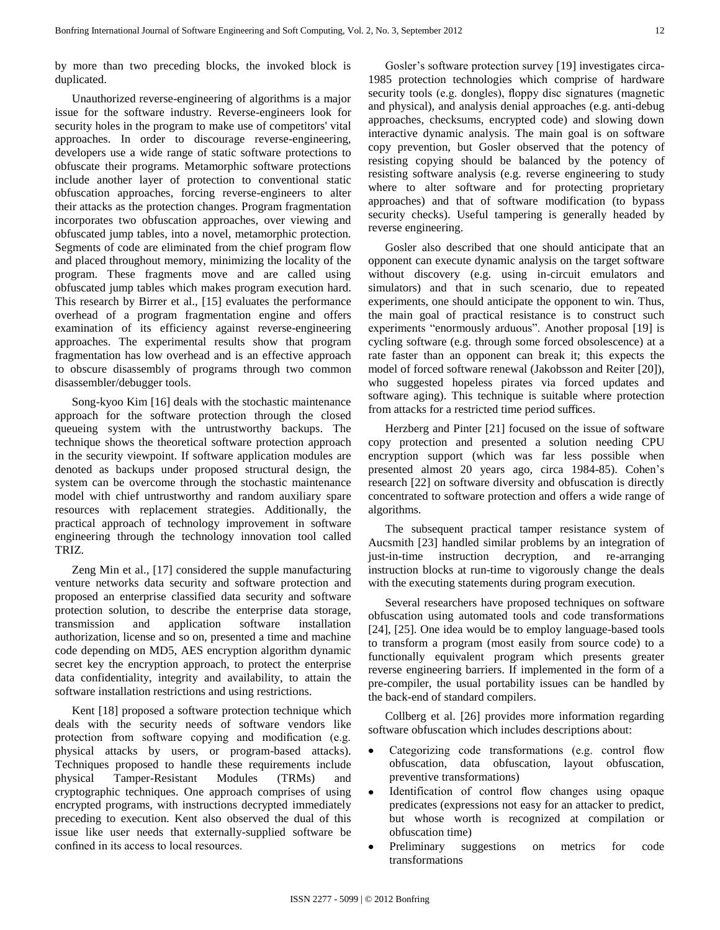by more than two preceding blocks, the invoked block is duplicated.

Unauthorized reverse-engineering of algorithms is a major issue for the software industry. Reverse-engineers look for security holes in the program to make use of competitors' vital approaches. In order to discourage reverse-engineering, developers use a wide range of static software protections to obfuscate their programs. Metamorphic software protections include another layer of protection to conventional static obfuscation approaches, forcing reverse-engineers to alter their attacks as the protection changes. Program fragmentation incorporates two obfuscation approaches, over viewing and obfuscated jump tables, into a novel, metamorphic protection. Segments of code are eliminated from the chief program flow and placed throughout memory, minimizing the locality of the program. These fragments move and are called using obfuscated jump tables which makes program execution hard. This research by Birrer et al., [15] evaluates the performance overhead of a program fragmentation engine and offers examination of its efficiency against reverse-engineering approaches. The experimental results show that program fragmentation has low overhead and is an effective approach to obscure disassembly of programs through two common disassembler/debugger tools.

Song-kyoo Kim [16] deals with the stochastic maintenance approach for the software protection through the closed queueing system with the untrustworthy backups. The technique shows the theoretical software protection approach in the security viewpoint. If software application modules are denoted as backups under proposed structural design, the system can be overcome through the stochastic maintenance model with chief untrustworthy and random auxiliary spare resources with replacement strategies. Additionally, the practical approach of technology improvement in software engineering through the technology innovation tool called TRIZ.

Zeng Min et al., [17] considered the supple manufacturing venture networks data security and software protection and proposed an enterprise classified data security and software protection solution, to describe the enterprise data storage, transmission and application software installation authorization, license and so on, presented a time and machine code depending on MD5, AES encryption algorithm dynamic secret key the encryption approach, to protect the enterprise data confidentiality, integrity and availability, to attain the software installation restrictions and using restrictions.

Kent [18] proposed a software protection technique which deals with the security needs of software vendors like protection from software copying and modification (e.g. physical attacks by users, or program-based attacks). Techniques proposed to handle these requirements include physical Tamper-Resistant Modules (TRMs) and cryptographic techniques. One approach comprises of using encrypted programs, with instructions decrypted immediately preceding to execution. Kent also observed the dual of this issue like user needs that externally-supplied software be confined in its access to local resources.

Gosler's software protection survey [19] investigates circa-1985 protection technologies which comprise of hardware security tools (e.g. dongles), floppy disc signatures (magnetic and physical), and analysis denial approaches (e.g. anti-debug approaches, checksums, encrypted code) and slowing down interactive dynamic analysis. The main goal is on software copy prevention, but Gosler observed that the potency of resisting copying should be balanced by the potency of resisting software analysis (e.g. reverse engineering to study where to alter software and for protecting proprietary approaches) and that of software modification (to bypass security checks). Useful tampering is generally headed by reverse engineering.

Gosler also described that one should anticipate that an opponent can execute dynamic analysis on the target software without discovery (e.g. using in-circuit emulators and simulators) and that in such scenario, due to repeated experiments, one should anticipate the opponent to win. Thus, the main goal of practical resistance is to construct such experiments "enormously arduous". Another proposal [19] is cycling software (e.g. through some forced obsolescence) at a rate faster than an opponent can break it; this expects the model of forced software renewal (Jakobsson and Reiter [20]), who suggested hopeless pirates via forced updates and software aging). This technique is suitable where protection from attacks for a restricted time period suffices.

Herzberg and Pinter [21] focused on the issue of software copy protection and presented a solution needing CPU encryption support (which was far less possible when presented almost 20 years ago, circa 1984-85). Cohen"s research [22] on software diversity and obfuscation is directly concentrated to software protection and offers a wide range of algorithms.

The subsequent practical tamper resistance system of Aucsmith [23] handled similar problems by an integration of just-in-time instruction decryption, and re-arranging instruction blocks at run-time to vigorously change the deals with the executing statements during program execution.

Several researchers have proposed techniques on software obfuscation using automated tools and code transformations [24], [25]. One idea would be to employ language-based tools to transform a program (most easily from source code) to a functionally equivalent program which presents greater reverse engineering barriers. If implemented in the form of a pre-compiler, the usual portability issues can be handled by the back-end of standard compilers.

Collberg et al. [26] provides more information regarding software obfuscation which includes descriptions about:

- Categorizing code transformations (e.g. control flow  $\bullet$ obfuscation, data obfuscation, layout obfuscation, preventive transformations)
- Identification of control flow changes using opaque predicates (expressions not easy for an attacker to predict, but whose worth is recognized at compilation or obfuscation time)
- Preliminary suggestions on metrics for code transformations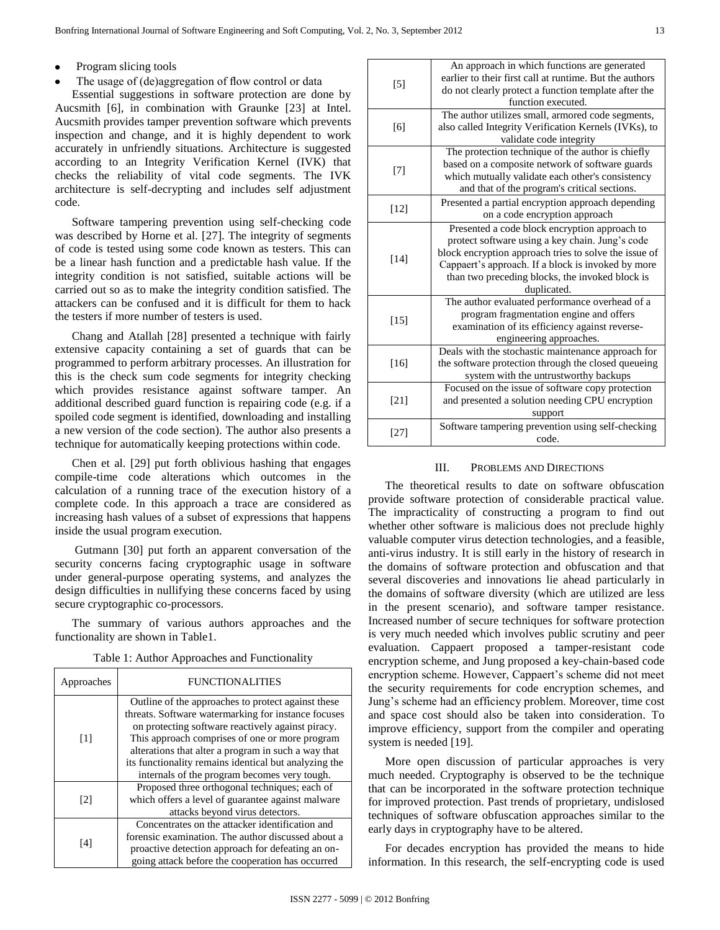- Program slicing tools
- The usage of (de)aggregation of flow control or data

Essential suggestions in software protection are done by Aucsmith [6], in combination with Graunke [23] at Intel. Aucsmith provides tamper prevention software which prevents inspection and change, and it is highly dependent to work accurately in unfriendly situations. Architecture is suggested according to an Integrity Verification Kernel (IVK) that checks the reliability of vital code segments. The IVK architecture is self-decrypting and includes self adjustment code.

Software tampering prevention using self-checking code was described by Horne et al. [27]. The integrity of segments of code is tested using some code known as testers. This can be a linear hash function and a predictable hash value. If the integrity condition is not satisfied, suitable actions will be carried out so as to make the integrity condition satisfied. The attackers can be confused and it is difficult for them to hack the testers if more number of testers is used.

Chang and Atallah [28] presented a technique with fairly extensive capacity containing a set of guards that can be programmed to perform arbitrary processes. An illustration for this is the check sum code segments for integrity checking which provides resistance against software tamper. An additional described guard function is repairing code (e.g. if a spoiled code segment is identified, downloading and installing a new version of the code section). The author also presents a technique for automatically keeping protections within code.

Chen et al. [29] put forth oblivious hashing that engages compile-time code alterations which outcomes in the calculation of a running trace of the execution history of a complete code. In this approach a trace are considered as increasing hash values of a subset of expressions that happens inside the usual program execution.

Gutmann [30] put forth an apparent conversation of the security concerns facing cryptographic usage in software under general-purpose operating systems, and analyzes the design difficulties in nullifying these concerns faced by using secure cryptographic co-processors.

The summary of various authors approaches and the functionality are shown in Table1.

| Approaches        | <b>FUNCTIONALITIES</b>                                                                                                                                                                                                                                                                                                           |  |  |
|-------------------|----------------------------------------------------------------------------------------------------------------------------------------------------------------------------------------------------------------------------------------------------------------------------------------------------------------------------------|--|--|
| $\lceil 1 \rceil$ | Outline of the approaches to protect against these<br>threats. Software watermarking for instance focuses<br>on protecting software reactively against piracy.<br>This approach comprises of one or more program<br>alterations that alter a program in such a way that<br>its functionality remains identical but analyzing the |  |  |
| $\lceil 2 \rceil$ | internals of the program becomes very tough.<br>Proposed three orthogonal techniques; each of<br>which offers a level of guarantee against malware<br>attacks beyond virus detectors.                                                                                                                                            |  |  |
| [4]               | Concentrates on the attacker identification and<br>forensic examination. The author discussed about a<br>proactive detection approach for defeating an on-<br>going attack before the cooperation has occurred                                                                                                                   |  |  |

|  | Table 1: Author Approaches and Functionality |  |  |
|--|----------------------------------------------|--|--|
|  |                                              |  |  |

| $\lceil 5 \rceil$ | An approach in which functions are generated<br>earlier to their first call at runtime. But the authors<br>do not clearly protect a function template after the<br>function executed.                                                                                             |  |  |  |
|-------------------|-----------------------------------------------------------------------------------------------------------------------------------------------------------------------------------------------------------------------------------------------------------------------------------|--|--|--|
| [6]               | The author utilizes small, armored code segments,<br>also called Integrity Verification Kernels (IVKs), to<br>validate code integrity                                                                                                                                             |  |  |  |
| [7]               | The protection technique of the author is chiefly<br>based on a composite network of software guards<br>which mutually validate each other's consistency<br>and that of the program's critical sections.                                                                          |  |  |  |
| [12]              | Presented a partial encryption approach depending<br>on a code encryption approach                                                                                                                                                                                                |  |  |  |
| [14]              | Presented a code block encryption approach to<br>protect software using a key chain. Jung's code<br>block encryption approach tries to solve the issue of<br>Cappaert's approach. If a block is invoked by more<br>than two preceding blocks, the invoked block is<br>duplicated. |  |  |  |
| $[15]$            | The author evaluated performance overhead of a<br>program fragmentation engine and offers<br>examination of its efficiency against reverse-<br>engineering approaches.                                                                                                            |  |  |  |
| [16]              | Deals with the stochastic maintenance approach for<br>the software protection through the closed queueing<br>system with the untrustworthy backups                                                                                                                                |  |  |  |
| [21]              | Focused on the issue of software copy protection<br>and presented a solution needing CPU encryption<br>support                                                                                                                                                                    |  |  |  |
| [27]              | Software tampering prevention using self-checking<br>code.                                                                                                                                                                                                                        |  |  |  |

## III. PROBLEMS AND DIRECTIONS

The theoretical results to date on software obfuscation provide software protection of considerable practical value. The impracticality of constructing a program to find out whether other software is malicious does not preclude highly valuable computer virus detection technologies, and a feasible, anti-virus industry. It is still early in the history of research in the domains of software protection and obfuscation and that several discoveries and innovations lie ahead particularly in the domains of software diversity (which are utilized are less in the present scenario), and software tamper resistance. Increased number of secure techniques for software protection is very much needed which involves public scrutiny and peer evaluation. Cappaert proposed a tamper-resistant code encryption scheme, and Jung proposed a key-chain-based code encryption scheme. However, Cappaert's scheme did not meet the security requirements for code encryption schemes, and Jung"s scheme had an efficiency problem. Moreover, time cost and space cost should also be taken into consideration. To improve efficiency, support from the compiler and operating system is needed [19].

More open discussion of particular approaches is very much needed. Cryptography is observed to be the technique that can be incorporated in the software protection technique for improved protection. Past trends of proprietary, undislosed techniques of software obfuscation approaches similar to the early days in cryptography have to be altered.

For decades encryption has provided the means to hide information. In this research, the self-encrypting code is used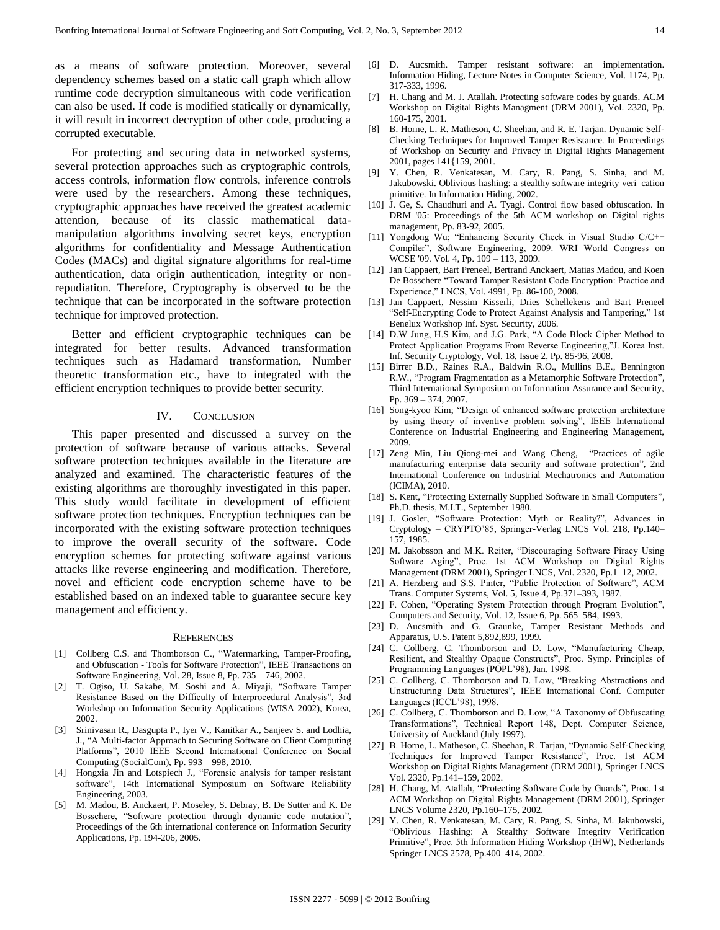as a means of software protection. Moreover, several dependency schemes based on a static call graph which allow runtime code decryption simultaneous with code verification can also be used. If code is modified statically or dynamically, it will result in incorrect decryption of other code, producing a corrupted executable.

For protecting and securing data in networked systems, several protection approaches such as cryptographic controls, access controls, information flow controls, inference controls were used by the researchers. Among these techniques, cryptographic approaches have received the greatest academic attention, because of its classic mathematical datamanipulation algorithms involving secret keys, encryption algorithms for confidentiality and Message Authentication Codes (MACs) and digital signature algorithms for real-time authentication, data origin authentication, integrity or nonrepudiation. Therefore, Cryptography is observed to be the technique that can be incorporated in the software protection technique for improved protection.

Better and efficient cryptographic techniques can be integrated for better results. Advanced transformation techniques such as Hadamard transformation, Number theoretic transformation etc., have to integrated with the efficient encryption techniques to provide better security.

## IV. CONCLUSION

This paper presented and discussed a survey on the protection of software because of various attacks. Several software protection techniques available in the literature are analyzed and examined. The characteristic features of the existing algorithms are thoroughly investigated in this paper. This study would facilitate in development of efficient software protection techniques. Encryption techniques can be incorporated with the existing software protection techniques to improve the overall security of the software. Code encryption schemes for protecting software against various attacks like reverse engineering and modification. Therefore, novel and efficient code encryption scheme have to be established based on an indexed table to guarantee secure key management and efficiency.

#### **REFERENCES**

- [1] Collberg C.S. and Thomborson C., "Watermarking, Tamper-Proofing, and Obfuscation - Tools for Software Protection", IEEE Transactions on Software Engineering, Vol. 28, Issue 8, Pp. 735 – 746, 2002.
- [2] T. Ogiso, U. Sakabe, M. Soshi and A. Miyaji, "Software Tamper Resistance Based on the Difficulty of Interprocedural Analysis", 3rd Workshop on Information Security Applications (WISA 2002), Korea, 2002.
- [3] Srinivasan R., Dasgupta P., Iyer V., Kanitkar A., Sanjeev S. and Lodhia, J., "A Multi-factor Approach to Securing Software on Client Computing Platforms", 2010 IEEE Second International Conference on Social Computing (SocialCom), Pp. 993 – 998, 2010.
- [4] Hongxia Jin and Lotspiech J., "Forensic analysis for tamper resistant software", 14th International Symposium on Software Reliability Engineering, 2003.
- [5] M. Madou, B. Anckaert, P. Moseley, S. Debray, B. De Sutter and K. De Bosschere, "Software protection through dynamic code mutation", Proceedings of the 6th international conference on Information Security Applications, Pp. 194-206, 2005.
- [6] D. Aucsmith. Tamper resistant software: an implementation. Information Hiding, Lecture Notes in Computer Science, Vol. 1174, Pp. 317-333, 1996.
- [7] H. Chang and M. J. Atallah. Protecting software codes by guards. ACM Workshop on Digital Rights Managment (DRM 2001), Vol. 2320, Pp. 160-175, 2001.
- [8] B. Horne, L. R. Matheson, C. Sheehan, and R. E. Tarjan. Dynamic Self-Checking Techniques for Improved Tamper Resistance. In Proceedings of Workshop on Security and Privacy in Digital Rights Management 2001, pages 141{159, 2001.
- [9] Y. Chen, R. Venkatesan, M. Cary, R. Pang, S. Sinha, and M. Jakubowski. Oblivious hashing: a stealthy software integrity veri\_cation primitive. In Information Hiding, 2002.
- [10] J. Ge, S. Chaudhuri and A. Tyagi. Control flow based obfuscation. In DRM '05: Proceedings of the 5th ACM workshop on Digital rights management, Pp. 83-92, 2005.
- [11] Yongdong Wu; "Enhancing Security Check in Visual Studio C/C++ Compiler", Software Engineering, 2009. WRI World Congress on WCSE '09. Vol. 4, Pp. 109 – 113, 2009.
- [12] Jan Cappaert, Bart Preneel, Bertrand Anckaert, Matias Madou, and Koen De Bosschere "Toward Tamper Resistant Code Encryption: Practice and Experience," LNCS, Vol. 4991, Pp. 86-100, 2008.
- [13] Jan Cappaert, Nessim Kisserli, Dries Schellekens and Bart Preneel "Self-Encrypting Code to Protect Against Analysis and Tampering," 1st Benelux Workshop Inf. Syst. Security, 2006.
- [14] D.W Jung, H.S Kim, and J.G. Park, "A Code Block Cipher Method to Protect Application Programs From Reverse Engineering,"J. Korea Inst. Inf. Security Cryptology, Vol. 18, Issue 2, Pp. 85-96, 2008.
- [15] Birrer B.D., Raines R.A., Baldwin R.O., Mullins B.E., Bennington R.W., "Program Fragmentation as a Metamorphic Software Protection", Third International Symposium on Information Assurance and Security, Pp. 369 – 374, 2007.
- [16] Song-kyoo Kim; "Design of enhanced software protection architecture by using theory of inventive problem solving", IEEE International Conference on Industrial Engineering and Engineering Management, 2009.
- [17] Zeng Min, Liu Qiong-mei and Wang Cheng, "Practices of agile manufacturing enterprise data security and software protection", 2nd International Conference on Industrial Mechatronics and Automation (ICIMA), 2010.
- [18] S. Kent, "Protecting Externally Supplied Software in Small Computers", Ph.D. thesis, M.I.T., September 1980.
- [19] J. Gosler, "Software Protection: Myth or Reality?", Advances in Cryptology – CRYPTO"85, Springer-Verlag LNCS Vol. 218, Pp.140– 157, 1985.
- [20] M. Jakobsson and M.K. Reiter, "Discouraging Software Piracy Using Software Aging", Proc. 1st ACM Workshop on Digital Rights Management (DRM 2001), Springer LNCS, Vol. 2320, Pp.1–12, 2002.
- [21] A. Herzberg and S.S. Pinter, "Public Protection of Software", ACM Trans. Computer Systems, Vol. 5, Issue 4, Pp.371–393, 1987.
- [22] F. Cohen, "Operating System Protection through Program Evolution", Computers and Security, Vol. 12, Issue 6, Pp. 565–584, 1993.
- [23] D. Aucsmith and G. Graunke, Tamper Resistant Methods and Apparatus, U.S. Patent 5,892,899, 1999.
- [24] C. Collberg, C. Thomborson and D. Low, "Manufacturing Cheap, Resilient, and Stealthy Opaque Constructs", Proc. Symp. Principles of Programming Languages (POPL"98), Jan. 1998.
- [25] C. Collberg, C. Thomborson and D. Low, "Breaking Abstractions and Unstructuring Data Structures", IEEE International Conf. Computer Languages (ICCL"98), 1998.
- [26] C. Collberg, C. Thomborson and D. Low, "A Taxonomy of Obfuscating Transformations", Technical Report 148, Dept. Computer Science, University of Auckland (July 1997).
- [27] B. Horne, L. Matheson, C. Sheehan, R. Tarjan, "Dynamic Self-Checking Techniques for Improved Tamper Resistance", Proc. 1st ACM Workshop on Digital Rights Management (DRM 2001), Springer LNCS Vol. 2320, Pp.141–159, 2002.
- [28] H. Chang, M. Atallah, "Protecting Software Code by Guards", Proc. 1st ACM Workshop on Digital Rights Management (DRM 2001), Springer LNCS Volume 2320, Pp.160–175, 2002.
- [29] Y. Chen, R. Venkatesan, M. Cary, R. Pang, S. Sinha, M. Jakubowski, "Oblivious Hashing: A Stealthy Software Integrity Verification Primitive", Proc. 5th Information Hiding Workshop (IHW), Netherlands Springer LNCS 2578, Pp.400–414, 2002.